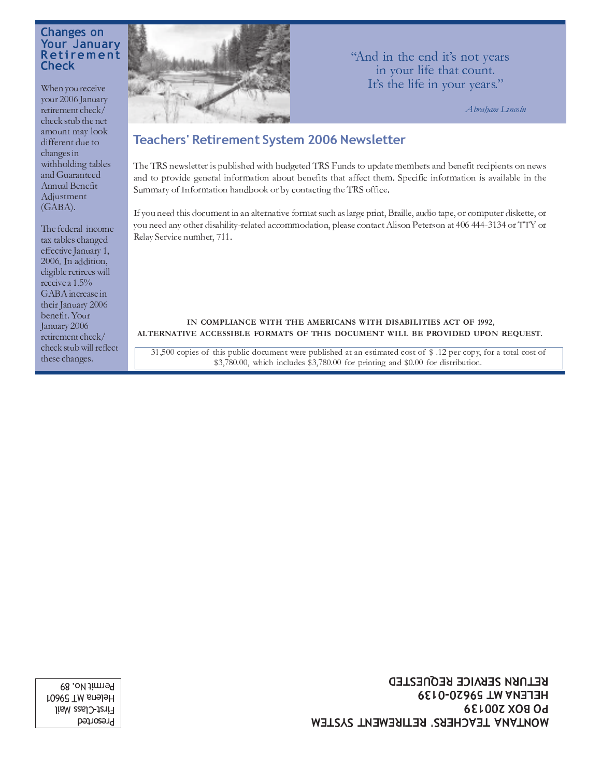#### **Changes on Your January** Retirement **Check**

When you receive vour 2006 January retirement check/ check stub the net amount may look different due to changes in withholding tables and Guaranteed Annual Benefit Adjustment  $(GABA)$ .

The federal income tax tables changed effective January 1, 2006. In addition, eligible retirees will receive a 1.5% GABA increase in their January 2006 benefit. Your January 2006 retirement check/ check stub will reflect these changes.



"And in the end it's not years in your life that count. It's the life in your years."

Abraham Lincoln

## **Teachers' Retirement System 2006 Newsletter**

The TRS newsletter is published with budgeted TRS Funds to update members and benefit recipients on news and to provide general information about benefits that affect them. Specific information is available in the Summary of Information handbook or by contacting the TRS office.

If you need this document in an alternative format such as large print, Braille, audio tape, or computer diskette, or you need any other disability-related accommodation, please contact Alison Peterson at 406 444-3134 or TTY or Relay Service number, 711.

#### IN COMPLIANCE WITH THE AMERICANS WITH DISABILITIES ACT OF 1992, ALTERNATIVE ACCESSIBLE FORMATS OF THIS DOCUMENT WILL BE PROVIDED UPON REQUEST.

31,500 copies of this public document were published at an estimated cost of \$.12 per copy, for a total cost of \$3,780.00, which includes \$3,780.00 for printing and \$0.00 for distribution.

> **RETURN SERVICE REQUESTED HELENA MT 59620-0139 PO BOX 200139** MONTANA TEACHERS' RETIREMENT SYSTEM

Permit No. 89 Helena MT 59601 First-Class Mail Presorted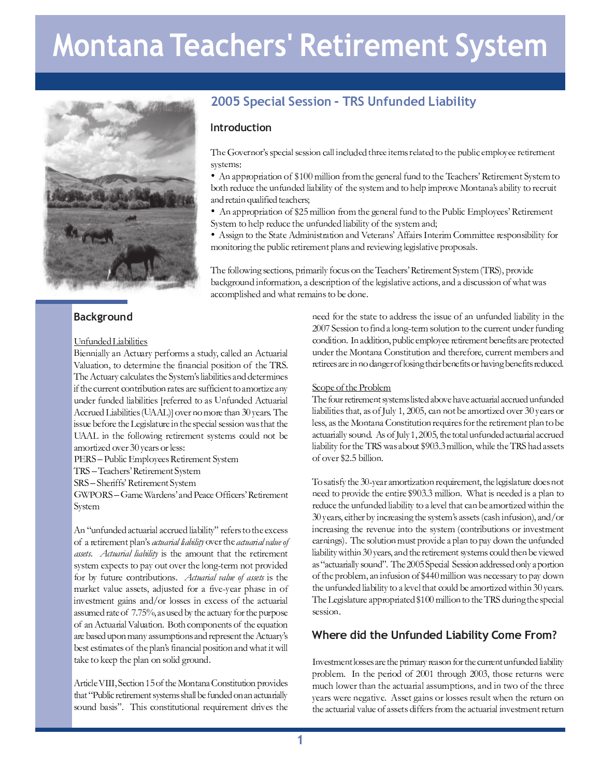# **Montana Teachers' Retirement System**



#### 

#### F <sup>M</sup> <sup>V</sup> <sup>F</sup> <sup>W</sup> <sup>T</sup> <sup>W</sup> <sup>|</sup> <sup>K</sup> <sup>G</sup> \_ <sup>K</sup> <sup>R</sup> <sup>K</sup> <sup>L</sup> <sup>K</sup> <sup>T</sup> <sup>Z</sup>

 K <sup>T</sup> <sup>F</sup> <sup>F</sup> <sup>K</sup> <sup>G</sup> <sup>R</sup> <sup>R</sup> ^ <sup>G</sup> <sup>F</sup> <sup>E</sup> <sup>Y</sup> <sup>L</sup> <sup>V</sup> <sup>G</sup> <sup>I</sup> ^ <sup>H</sup> <sup>T</sup> <sup>I</sup> <sup>M</sup> <sup>J</sup> <sup>I</sup> <sup>Q</sup> <sup>Z</sup> <sup>G</sup> <sup>Z</sup> <sup>L</sup> <sup>V</sup> <sup>W</sup> ^ <sup>m</sup> <sup>Y</sup> <sup>G</sup> <sup>R</sup> <sup>R</sup> <sup>T</sup> <sup>W</sup> <sup>G</sup> <sup>F</sup> <sup>E</sup> <sup>Y</sup> <sup>L</sup> <sup>V</sup> <sup>G</sup> <sup>I</sup> <sup>K</sup> <sup>G</sup> <sup>R</sup> h G R V G R V G L  $\sim$  100  $\mu$  . The set of the set of the set of the set of the set of the set of the set of the set of the set of the set of the set of the set of the set of the set of the set of the set of the set of  $\mathcal{S}$  . The state  $\mathcal{S}$  and  $\mathcal{S}$  are the state  $\mathcal{S}$  and  $\mathcal{S}$  are the window where  $\mathcal{S}$  are the  $\mathcal{S}$  $\mathcal{L} \subset \mathcal{L}$  . The contract is the contract of the contract of the contract of the contract of the contract of the contract of the contract of the contract of the contract of the contract of the contract of the contra V <sup>F</sup> <sup>W</sup> <sup>T</sup> <sup>I</sup> <sup>M</sup> <sup>V</sup> <sup>F</sup> <sup>W</sup> <sup>T</sup> <sup>W</sup> <sup>R</sup> <sup>K</sup> <sup>G</sup> \_ <sup>K</sup> <sup>R</sup> <sup>K</sup> <sup>L</sup> <sup>K</sup> <sup>T</sup> <sup>Z</sup> <sup>I</sup> <sup>T</sup> <sup>M</sup> <sup>T</sup> <sup>I</sup> <sup>I</sup> <sup>T</sup> <sup>W</sup> <sup>L</sup> <sup>J</sup> <sup>G</sup> <sup>Z</sup> F <sup>M</sup> <sup>V</sup> <sup>F</sup> <sup>W</sup> <sup>T</sup> <sup>W</sup> <sup>E</sup> <sup>Y</sup> <sup>L</sup> <sup>V</sup> <sup>G</sup> <sup>I</sup> <sup>K</sup> <sup>G</sup> <sup>R</sup> E <sup>Y</sup> <sup>Y</sup> <sup>I</sup> <sup>V</sup> <sup>T</sup> <sup>W</sup> <sup>|</sup> <sup>K</sup> <sup>G</sup> \_ <sup>K</sup> <sup>R</sup> <sup>K</sup> <sup>L</sup> <sup>K</sup> <sup>T</sup> <sup>Z</sup> <sup>n</sup> E <sup>E</sup> <sup>|</sup> <sup>o</sup> <sup>J</sup> ` <sup>T</sup> <sup>I</sup> <sup>F</sup> <sup>J</sup> <sup>Q</sup> <sup>J</sup> <sup>I</sup> <sup>T</sup> <sup>L</sup> <sup>S</sup> <sup>G</sup> <sup>F</sup> <sup>u</sup> <sup>P</sup> ^ <sup>T</sup> <sup>G</sup> <sup>I</sup> <sup>Z</sup> <sup>l</sup> <sup>X</sup> <sup>S</sup> <sup>T</sup>  $\mathcal{L}$   $\mathcal{L}$   $\mathcal{L}$   $\mathcal{L}$   $\mathcal{L}$   $\mathcal{L}$   $\mathcal{L}$   $\mathcal{L}$   $\mathcal{L}$   $\mathcal{L}$   $\mathcal{L}$   $\mathcal{L}$   $\mathcal{L}$   $\mathcal{L}$   $\mathcal{L}$   $\mathcal{L}$   $\mathcal{L}$   $\mathcal{L}$   $\mathcal{L}$   $\mathcal{L}$   $\mathcal{L}$   $\mathcal{L}$   $\mathcal{L}$   $\mathcal{L}$   $\mathcal{$  E <sup>E</sup> <sup>|</sup> <sup>K</sup> <sup>F</sup> <sup>L</sup> <sup>S</sup> <sup>T</sup> <sup>M</sup> <sup>J</sup> <sup>R</sup> <sup>R</sup> <sup>J</sup> <sup>k</sup> <sup>K</sup> <sup>F</sup> <sup>U</sup> <sup>I</sup> <sup>T</sup> <sup>L</sup> <sup>K</sup> <sup>I</sup> <sup>T</sup> <sup>Q</sup> <sup>T</sup> <sup>F</sup> <sup>L</sup> <sup>Z</sup> ^ <sup>Z</sup> <sup>L</sup> <sup>T</sup> <sup>Q</sup> <sup>Z</sup> <sup>Y</sup> <sup>J</sup> <sup>V</sup> <sup>R</sup> <sup>W</sup> <sup>F</sup> <sup>J</sup> <sup>L</sup> \_ <sup>T</sup>  $\blacksquare$  is the final term of the  $\blacksquare$ 

f <sup>g</sup> \ ] ¡ <sup>f</sup> <sup>V</sup> \_ <sup>R</sup> <sup>K</sup> <sup>Y</sup> <sup>g</sup> <sup>Q</sup> <sup>H</sup> <sup>R</sup> <sup>J</sup> ^ <sup>T</sup> <sup>T</sup> <sup>Z</sup> \ <sup>T</sup> <sup>L</sup> <sup>K</sup> <sup>I</sup> <sup>T</sup> <sup>Q</sup> <sup>T</sup> <sup>F</sup> <sup>L</sup> ] ^ <sup>Z</sup> <sup>L</sup> <sup>T</sup> <sup>Q</sup>

 $\bf x \rightarrow \bf y$  ,  $\bf x \rightarrow \bf y$  ,  $\bf x \rightarrow \bf y$  ,  $\bf x \rightarrow \bf y$  ,  $\bf x \rightarrow \bf y$  ,  $\bf x \rightarrow \bf y$  ,  $\bf x \rightarrow \bf y$  ,  $\bf x \rightarrow \bf y$  ,  $\bf x \rightarrow \bf y$  ,  $\bf x \rightarrow \bf y$  ,  $\bf x \rightarrow \bf y$  ,  $\bf x \rightarrow \bf y$  ,  $\bf x \rightarrow \bf y$  ,  $\bf x \rightarrow \bf y$  ,  $\bf x \rightarrow \bf y$  ,  $\bf x \rightarrow \bf y$  ,  $\bf x \rightarrow \bf y$  ,

 $\blacksquare$  . In the set of the set of the set of the set of the set of the set of the set of the set of the set of the set of the set of the set of the set of the set of the set of the set of the set of the set of the set of

 $\alpha$  and  $\alpha$  and  $\alpha$  are the function of  $\alpha$  in the  $\alpha$  in  $\alpha$  in  $\alpha$  in  $\alpha$  in  $\alpha$  in  $\alpha$  in  $\alpha$  in  $\alpha$  in  $\alpha$  in  $\alpha$  in  $\alpha$  in  $\alpha$  in  $\alpha$  in  $\alpha$  in  $\alpha$  in  $\alpha$  in  $\alpha$  in  $\alpha$  in  $\alpha$  in  $\alpha$  in  $\alpha$  i  $Z$   $\sim$   $Z$   $\sim$   $Z$   $\sim$   $Z$   $\sim$   $Z$   $\sim$   $Z$   $\sim$   $Z$   $\sim$   $Z$   $\sim$   $Z$   $\sim$   $Z$   $\sim$   $Z$   $\sim$   $Z$   $\sim$   $Z$   $\sim$   $Z$   $\sim$   $Z$   $\sim$   $Z$   $\sim$   $Z$   $\sim$   $Z$   $\sim$   $Z$   $\sim$   $Z$   $\sim$   $Z$   $\sim$   $Z$   $\sim$   $Z$   $\sim$   $Z$   $\sim$   $Z$ 

E <sup>F</sup> <sup>y</sup> <sup>V</sup> <sup>F</sup> <sup>M</sup> <sup>V</sup> <sup>F</sup> <sup>W</sup> <sup>T</sup> <sup>W</sup> <sup>G</sup> <sup>Y</sup> <sup>L</sup> <sup>V</sup> <sup>G</sup> <sup>I</sup> <sup>K</sup> <sup>G</sup> <sup>R</sup> <sup>G</sup> <sup>Y</sup> <sup>Y</sup> <sup>I</sup> <sup>V</sup> <sup>T</sup> <sup>W</sup> <sup>R</sup> <sup>K</sup> <sup>G</sup> \_ <sup>K</sup> <sup>R</sup> <sup>K</sup> <sup>L</sup> ^ <sup>z</sup> <sup>I</sup> <sup>T</sup> <sup>M</sup> <sup>T</sup> <sup>I</sup> <sup>Z</sup> <sup>L</sup> <sup>J</sup> <sup>L</sup> <sup>S</sup> <sup>T</sup> <sup>T</sup> ¤ <sup>Y</sup> <sup>T</sup> <sup>Z</sup> <sup>Z</sup>  $J \subset \mathcal{L}$  , we obtain a set of  $\mathcal{L}$  and  $\mathcal{L}$  and  $\mathcal{L}$   $J$   $\mathcal{L}$   $J$   $\mathcal{L}$   $\mathcal{L}$   $\mathcal{L}$   $\mathcal{L}$   $\mathcal{L}$   $\mathcal{L}$   $\mathcal{L}$   $\mathcal{L}$   $\mathcal{L}$   $\mathcal{L}$   $\mathcal{L}$   $\mathcal{L}$   $\mathcal{L}$   $\mathcal{L}$   $\mathcal{L}$   $\mathcal{A}$  ,  $\mathcal{A}$  ,  $\mathcal{A}$  ,  $\mathcal{A}$  ,  $\mathcal{A}$  ,  $\mathcal{A}$  ,  $\mathcal{A}$  ,  $\mathcal{A}$  ,  $\mathcal{A}$  ,  $\mathcal{A}$  ,  $\mathcal{A}$  ,  $\mathcal{A}$  ,  $\mathcal{A}$  ,  $\mathcal{A}$  ,  $\mathcal{A}$  ,  $\mathcal{A}$  ,  $\mathcal{A}$  ,  $\mathcal{A}$  ,  $\mathcal{A}$  ,  $\mathcal{A}$  , « a contracted a contracted a version and a second the state of a second the state of a second and a factor of  $\alpha$  $\mathcal{L}_{\mathcal{F}}$  is  $\mathcal{L}_{\mathcal{F}}$  and  $\mathcal{L}_{\mathcal{F}}$  is a set of  $\mathcal{L}_{\mathcal{F}}$  . Then  $\mathcal{L}_{\mathcal{F}}$  is a set of  $\mathcal{L}_{\mathcal{F}}$  is a set of  $\mathcal{L}_{\mathcal{F}}$ wa substant de la celebra de la final de la celebra de la celebra de la celebra de la celebra de la celebra de ة أو عند الله عليه الله عند الله عند الله عند الله عند الله عند الله عند الله عند الله عند الله عند الله عند ا  $\bm{z}$  , and  $\bm{z}$  and  $\bm{z}$   $\bm{z}$   $\bm{z}$   $\bm{z}$   $\bm{z}$   $\bm{z}$   $\bm{z}$   $\bm{z}$   $\bm{z}$   $\bm{z}$   $\bm{z}$   $\bm{z}$   $\bm{z}$   $\bm{z}$   $\bm{z}$   $\bm{z}$   $\bm{z}$   $\bm{z}$   $\bm{z}$   $\bm{z}$   $\bm{z}$   $\bm{z}$   $\bm{z}$   $\bm{z}$   $\bm$ ® É ½ <sup>À</sup> <sup>Ò</sup> <sup>Ä</sup> <sup>²</sup> ¿ <sup>½</sup> <sup>±</sup> » <sup>½</sup> <sup>Å</sup> <sup>Ó</sup> <sup>½</sup> <sup>Å</sup> ¿ <sup>½</sup> <sup>²</sup> » ® <sup>À</sup> ¹ <sup>Ô</sup> ® <sup>²</sup> <sup>³</sup> <sup>Ä</sup> ® <sup>¾</sup> <sup>Ã</sup> ® <sup>À</sup> ° <sup>À</sup> <sup>²</sup> <sup>¼</sup> ® É ² <sup>³</sup> ° ° <sup>Õ</sup> ¿ <sup>½</sup> <sup>²</sup> » ® <sup>À</sup> ½ <sup>±</sup> ° <sup>Ê</sup> <sup>½</sup> <sup>¼</sup> ° <sup>È</sup> ¿ <sup>Ã</sup> ® <sup>À</sup> <sup>¾</sup> <sup>½</sup> <sup>À</sup> <sup>Á</sup> <sup>½</sup> <sup>¼</sup> <sup>¼</sup> ¿ <sup>¾</sup> <sup>Ã</sup> <sup>²</sup> » ® <sup>À</sup> <sup>¼</sup> <sup>½</sup> <sup>À</sup> <sup>È</sup> <sup>±</sup> ° <sup>Ã</sup> <sup>±</sup> ° <sup>¼</sup> ° <sup>À</sup> <sup>²</sup> <sup>²</sup> <sup>³</sup> ° <sup>Ò</sup> <sup>Ä</sup> <sup>²</sup> ¿ <sup>½</sup> <sup>±</sup> <sup>Á</sup> <sup>Ö</sup> <sup>¼</sup> Ê ° <sup>¼</sup> <sup>²</sup> ° <sup>¼</sup> <sup>²</sup> » <sup>¾</sup> <sup>½</sup> <sup>²</sup> ° <sup>¼</sup> ® É ² <sup>³</sup> ° <sup>Ã</sup> <sup>Å</sup> <sup>½</sup> <sup>À</sup> <sup>Ö</sup> <sup>¼</sup> É » <sup>À</sup> <sup>½</sup> <sup>À</sup> <sup>Ä</sup> » <sup>½</sup> <sup>Å</sup> <sup>Ã</sup> ® <sup>¼</sup> » <sup>²</sup> » ® <sup>À</sup> <sup>½</sup> <sup>À</sup> <sup>È</sup> <sup>×</sup> <sup>³</sup> <sup>½</sup> <sup>²</sup> » <sup>²</sup> <sup>×</sup> » <sup>Å</sup> <sup>Å</sup> ² <sup>½</sup> <sup>Ë</sup> ° <sup>²</sup> ® <sup>Ë</sup> ° ° <sup>Ã</sup> <sup>²</sup> <sup>³</sup> ° <sup>Ã</sup> <sup>Å</sup> <sup>½</sup> <sup>À</sup> ® <sup>À</sup> <sup>¼</sup> ® <sup>Å</sup> » <sup>È</sup> <sup>Æ</sup> <sup>±</sup> ® ¿ <sup>À</sup> <sup>È</sup> ¹

 $\Lambda$  wide  $\Lambda$  III  $\Lambda$  cation 15 of the Montene Constitution provide ² <sup>³</sup> <sup>½</sup> <sup>²</sup> <sup>Ý</sup> <sup>Þ</sup> ¿ <sup>Ê</sup> <sup>Å</sup> » <sup>Ä</sup> <sup>±</sup> ° <sup>²</sup> » <sup>±</sup> ° <sup>¾</sup> ° <sup>À</sup> <sup>²</sup> <sup>¼</sup> <sup>Á</sup> <sup>¼</sup> <sup>²</sup> ° <sup>¾</sup> <sup>¼</sup> <sup>¼</sup> <sup>³</sup> <sup>½</sup> <sup>Å</sup> <sup>Å</sup> <sup>Ê</sup> ° É ¿ <sup>À</sup> <sup>È</sup> ° <sup>È</sup> ® <sup>À</sup> <sup>½</sup> <sup>À</sup> <sup>½</sup> <sup>Ä</sup> <sup>²</sup> ¿ <sup>½</sup> <sup>±</sup> » <sup>½</sup> <sup>Å</sup> <sup>Å</sup> <sup>Á</sup> a ≥ → à À È esta?? → APL ta le a a a ta à a a la a la constanza a la alega a a la a de la constanza a la

## ! ! " # \$ %

#### Introduction

/ <sup>0</sup> <sup>1</sup> <sup>2</sup> <sup>3</sup> <sup>4</sup> <sup>1</sup> <sup>5</sup> <sup>6</sup> <sup>3</sup> <sup>5</sup> <sup>7</sup> <sup>8</sup> <sup>8</sup> <sup>9</sup> <sup>1</sup> : ; <sup>&</sup>lt; <sup>=</sup> <sup>8</sup> <sup>1</sup> <sup>8</sup> <sup>8</sup> ; <sup>3</sup> <sup>6</sup> : <sup>&</sup>lt; <sup>=</sup> <sup>=</sup> ; <sup>6</sup> : <sup>=</sup> <sup>&</sup>gt; ? <sup>1</sup> ? @ <sup>0</sup> <sup>5</sup> <sup>1</sup> <sup>1</sup> ; @ <sup>1</sup> <sup>A</sup> <sup>8</sup> <sup>5</sup> <sup>1</sup> <sup>=</sup> <sup>&</sup>lt; @ <sup>1</sup> ? @ <sup>3</sup> @ <sup>0</sup> <sup>1</sup> <sup>9</sup> <sup>&</sup>gt; <sup>B</sup> <sup>=</sup> ; : <sup>1</sup> <sup>A</sup> <sup>9</sup> <sup>=</sup> <sup>3</sup> <sup>C</sup> <sup>1</sup> <sup>1</sup> <sup>5</sup> <sup>1</sup> @ ; <sup>5</sup> <sup>1</sup> <sup>A</sup> <sup>1</sup> <sup>6</sup> @

E <sup>F</sup> <sup>G</sup> <sup>H</sup> <sup>H</sup> <sup>I</sup> <sup>J</sup> <sup>H</sup> <sup>I</sup> <sup>K</sup> <sup>G</sup> <sup>L</sup> <sup>K</sup> <sup>J</sup> <sup>F</sup> <sup>J</sup> <sup>M</sup> <sup>N</sup> <sup>O</sup> <sup>P</sup> <sup>P</sup> <sup>Q</sup> <sup>K</sup> <sup>R</sup> <sup>R</sup> <sup>K</sup> <sup>J</sup> <sup>F</sup> <sup>M</sup> <sup>I</sup> <sup>J</sup> <sup>Q</sup> <sup>L</sup> <sup>S</sup> <sup>T</sup> <sup>U</sup> <sup>T</sup> <sup>F</sup> <sup>T</sup> <sup>I</sup> <sup>G</sup> <sup>R</sup> <sup>M</sup> <sup>V</sup> <sup>F</sup> <sup>W</sup> <sup>L</sup> <sup>J</sup> <sup>L</sup> <sup>S</sup> <sup>T</sup> <sup>X</sup> <sup>T</sup> <sup>G</sup> <sup>Y</sup> <sup>S</sup> <sup>T</sup> <sup>I</sup> <sup>Z</sup> [ \ <sup>T</sup> <sup>L</sup> <sup>K</sup> <sup>I</sup> <sup>T</sup> <sup>Q</sup> <sup>T</sup> <sup>F</sup> <sup>L</sup> ] ^ <sup>Z</sup> <sup>L</sup> <sup>T</sup> <sup>Q</sup> <sup>L</sup> <sup>J</sup> \_ <sup>J</sup> <sup>L</sup> <sup>S</sup> <sup>I</sup> <sup>T</sup> <sup>W</sup> <sup>V</sup> <sup>Y</sup> <sup>T</sup> <sup>L</sup> <sup>S</sup> <sup>T</sup> <sup>V</sup> <sup>F</sup> <sup>M</sup> <sup>V</sup> <sup>F</sup> <sup>W</sup> <sup>T</sup> <sup>W</sup> <sup>R</sup> <sup>K</sup> <sup>G</sup> \_ <sup>K</sup> <sup>R</sup> <sup>K</sup> <sup>L</sup> ^ <sup>J</sup> <sup>M</sup> <sup>L</sup> <sup>S</sup> <sup>T</sup> <sup>Z</sup> ^ <sup>Z</sup> <sup>L</sup> <sup>T</sup> <sup>Q</sup> <sup>G</sup> <sup>F</sup> <sup>W</sup> <sup>L</sup> <sup>J</sup> <sup>S</sup> <sup>T</sup> <sup>R</sup> <sup>H</sup> <sup>K</sup> <sup>Q</sup> <sup>H</sup> <sup>I</sup> <sup>J</sup> ` <sup>T</sup> <sup>a</sup> <sup>J</sup> <sup>F</sup> <sup>L</sup> <sup>G</sup> <sup>F</sup> <sup>G</sup> [ <sup>Z</sup> <sup>G</sup> \_ <sup>K</sup> <sup>R</sup> <sup>K</sup> <sup>L</sup> ^ <sup>L</sup> <sup>J</sup> <sup>I</sup> <sup>T</sup> <sup>Y</sup> <sup>I</sup> <sup>V</sup> <sup>K</sup> <sup>L</sup> G <sup>F</sup> <sup>W</sup> <sup>I</sup> <sup>T</sup> <sup>L</sup> <sup>G</sup> <sup>K</sup> <sup>F</sup> <sup>b</sup> <sup>V</sup> <sup>G</sup> <sup>R</sup> <sup>K</sup> <sup>M</sup> <sup>K</sup> <sup>T</sup> <sup>W</sup> <sup>L</sup> <sup>T</sup> <sup>G</sup> <sup>Y</sup> <sup>S</sup> <sup>T</sup> <sup>I</sup> <sup>Z</sup> <sup>c</sup>

 $E$  and the contract the contract of the contract of the contract of the contract of the contract of the contract of the contract of the contract of the contract of the contract of the contract of the contract of the cont ] ^ <sup>Z</sup> <sup>L</sup> <sup>T</sup> <sup>Q</sup> <sup>L</sup> <sup>J</sup> <sup>S</sup> <sup>T</sup> <sup>R</sup> <sup>H</sup> <sup>I</sup> <sup>T</sup> <sup>W</sup> <sup>V</sup> <sup>Y</sup> <sup>T</sup> <sup>L</sup> <sup>S</sup> <sup>T</sup> <sup>V</sup> <sup>F</sup> <sup>M</sup> <sup>V</sup> <sup>F</sup> <sup>W</sup> <sup>T</sup> <sup>W</sup> <sup>R</sup> <sup>K</sup> <sup>G</sup> \_ <sup>K</sup> <sup>R</sup> <sup>K</sup> <sup>L</sup> ^ <sup>J</sup> <sup>M</sup> <sup>L</sup> <sup>S</sup> <sup>T</sup> <sup>Z</sup> ^ <sup>Z</sup> <sup>L</sup> <sup>T</sup> <sup>Q</sup> <sup>G</sup> <sup>F</sup> <sup>W</sup> <sup>c</sup>

 $E$   $\mathbf{F}$   $\mathbf{F}$   $\mathbf{F}$   $\mathbf{F}$   $\mathbf{F}$   $\mathbf{F}$   $\mathbf{F}$   $\mathbf{F}$   $\mathbf{F}$   $\mathbf{F}$   $\mathbf{F}$   $\mathbf{F}$   $\mathbf{F}$   $\mathbf{F}$   $\mathbf{F}$   $\mathbf{F}$   $\mathbf{F}$   $\mathbf{F}$   $\mathbf{F}$   $\mathbf{F}$   $\mathbf{F}$   $\mathbf{F}$   $\mathbf{F}$   $\mathbf{F}$   $\mathcal{L} = \mathcal{L} = \mathcal{L} = \mathcal{L} = \mathcal{L} = \mathcal{L} = \mathcal{L} = \mathcal{L} = \mathcal{L} = \mathcal{L} = \mathcal{L} = \mathcal{L} = \mathcal{L} = \mathcal{L} = \mathcal{L} = \mathcal{L} = \mathcal{L} = \mathcal{L} = \mathcal{L} = \mathcal{L} = \mathcal{L} = \mathcal{L} = \mathcal{L} = \mathcal{L} = \mathcal{L} = \mathcal{L} = \mathcal{L} = \mathcal{L} = \mathcal{L} = \mathcal{L} = \mathcal{L} = \mathcal$ 

X <sup>S</sup> <sup>T</sup> <sup>M</sup> <sup>J</sup> <sup>R</sup> <sup>R</sup> <sup>J</sup> <sup>k</sup> <sup>K</sup> <sup>F</sup> <sup>U</sup> <sup>Z</sup> <sup>T</sup> <sup>Y</sup> <sup>L</sup> <sup>K</sup> <sup>J</sup> <sup>F</sup> <sup>Z</sup> <sup>m</sup> <sup>H</sup> <sup>I</sup> <sup>K</sup> <sup>Q</sup> <sup>G</sup> <sup>I</sup> <sup>K</sup> <sup>R</sup> ^ <sup>M</sup> <sup>J</sup> <sup>Y</sup> <sup>V</sup> <sup>Z</sup> <sup>J</sup> <sup>F</sup> <sup>L</sup> <sup>S</sup> <sup>T</sup> <sup>X</sup> <sup>T</sup> <sup>G</sup> <sup>Y</sup> <sup>S</sup> <sup>T</sup> <sup>I</sup> <sup>Z</sup> [ \ <sup>T</sup> <sup>L</sup> <sup>K</sup> <sup>I</sup> <sup>T</sup> <sup>Q</sup> <sup>T</sup> <sup>F</sup> <sup>L</sup> ] ^ <sup>Z</sup> <sup>L</sup> <sup>T</sup> <sup>Q</sup> <sup>n</sup> <sup>X</sup> \ ] <sup>o</sup> <sup>m</sup> <sup>H</sup> <sup>I</sup> <sup>J</sup> ` <sup>K</sup> <sup>W</sup> <sup>T</sup> \_ <sup>G</sup> <sup>Y</sup> <sup>p</sup> <sup>U</sup> <sup>I</sup> <sup>J</sup> <sup>V</sup> <sup>F</sup> <sup>W</sup> <sup>K</sup> <sup>F</sup> <sup>M</sup> <sup>J</sup> <sup>I</sup> <sup>Q</sup> <sup>G</sup> <sup>L</sup> <sup>K</sup> <sup>J</sup> <sup>F</sup> <sup>m</sup> <sup>G</sup> <sup>W</sup> <sup>T</sup> <sup>Z</sup> <sup>Y</sup> <sup>I</sup> <sup>K</sup> <sup>H</sup> <sup>L</sup> <sup>K</sup> <sup>J</sup> <sup>F</sup> <sup>J</sup> <sup>M</sup> <sup>L</sup> <sup>S</sup> <sup>T</sup> <sup>R</sup> <sup>T</sup> <sup>U</sup> <sup>K</sup> <sup>Z</sup> <sup>R</sup> <sup>G</sup> <sup>L</sup> <sup>K</sup> ` <sup>T</sup> <sup>G</sup> <sup>Y</sup> <sup>L</sup> <sup>K</sup> <sup>J</sup> <sup>F</sup> <sup>Z</sup> <sup>m</sup> <sup>G</sup> <sup>F</sup> <sup>W</sup> <sup>G</sup> <sup>W</sup> <sup>K</sup> <sup>Z</sup> <sup>Y</sup> <sup>V</sup> <sup>Z</sup> <sup>Z</sup> <sup>K</sup> <sup>J</sup> <sup>F</sup> <sup>J</sup> <sup>M</sup> <sup>k</sup> <sup>S</sup> <sup>G</sup> <sup>L</sup> <sup>k</sup> <sup>G</sup> <sup>Z</sup>  $\mathcal{L}$  is a set of the set of the set of the set of the set of the set of the set of the set of the set of the set of the set of the set of the set of the set of the set of the set of the set of the set of the set of th

> F <sup>T</sup> <sup>T</sup> <sup>W</sup> <sup>M</sup> <sup>J</sup> <sup>I</sup> <sup>L</sup> <sup>S</sup> <sup>T</sup> <sup>Z</sup> <sup>L</sup> <sup>G</sup> <sup>L</sup> <sup>T</sup> <sup>L</sup> <sup>J</sup> <sup>G</sup> <sup>W</sup> <sup>W</sup> <sup>I</sup> <sup>T</sup> <sup>Z</sup> <sup>Z</sup> <sup>L</sup> <sup>S</sup> <sup>T</sup> <sup>K</sup> <sup>Z</sup> <sup>Z</sup> <sup>V</sup> <sup>T</sup> <sup>J</sup> <sup>M</sup> <sup>G</sup> <sup>F</sup> <sup>V</sup> <sup>F</sup> <sup>M</sup> <sup>V</sup> <sup>F</sup> <sup>W</sup> <sup>T</sup> <sup>W</sup> <sup>R</sup> <sup>K</sup> <sup>G</sup> \_ <sup>K</sup> <sup>R</sup> <sup>K</sup> <sup>L</sup> ^ <sup>K</sup> <sup>F</sup> <sup>L</sup> <sup>S</sup> <sup>T</sup> d <sup>P</sup> <sup>P</sup> <sup>q</sup> ] <sup>T</sup> <sup>Z</sup> <sup>Z</sup> <sup>K</sup> <sup>J</sup> <sup>F</sup> <sup>L</sup> <sup>J</sup> <sup>M</sup> <sup>K</sup> <sup>F</sup> <sup>W</sup> <sup>G</sup> <sup>R</sup> <sup>J</sup> <sup>F</sup> <sup>U</sup> <sup>r</sup> <sup>L</sup> <sup>T</sup> <sup>I</sup> <sup>Q</sup> <sup>Z</sup> <sup>J</sup> <sup>R</sup> <sup>V</sup> <sup>L</sup> <sup>K</sup> <sup>J</sup> <sup>F</sup> <sup>L</sup> <sup>J</sup> <sup>L</sup> <sup>S</sup> <sup>T</sup> <sup>Y</sup> <sup>V</sup> <sup>I</sup> <sup>I</sup> <sup>T</sup> <sup>F</sup> <sup>L</sup> <sup>V</sup> <sup>F</sup> <sup>W</sup> <sup>T</sup> <sup>I</sup> <sup>M</sup> <sup>V</sup> <sup>F</sup> <sup>W</sup> <sup>K</sup> <sup>F</sup> <sup>U</sup>  $Y$  , and the matrix of the matrix  $Y$  and  $Y$  the matrix  $Y$  and  $Y$   $\mathcal{A}$  and  $\mathcal{A}$  and  $\mathcal{A}$  and  $\mathcal{A}$  and  $\mathcal{A}$  and  $\mathcal{A}$  and  $\mathcal{A}$  and  $\mathcal{A}$  and  $\mathcal{A}$  and  $\mathcal{A}$  and  $\mathcal{A}$  and  $\mathcal{A}$  $\mathcal{P}$  and a graduate  $\mathcal{P}$  is a set of the set of the set of the set of the set of the set of the set of the set of the set of the set of the set of the set of the set of the set of the set of the set of the set of I <sup>T</sup> <sup>L</sup> <sup>K</sup> <sup>I</sup> <sup>T</sup> <sup>T</sup> <sup>Z</sup> <sup>G</sup> <sup>I</sup> <sup>T</sup> <sup>K</sup> <sup>F</sup> <sup>F</sup> <sup>J</sup> <sup>W</sup> <sup>G</sup> <sup>F</sup> <sup>U</sup> <sup>T</sup> <sup>I</sup> <sup>J</sup> <sup>M</sup> <sup>R</sup> <sup>J</sup> <sup>Z</sup> <sup>K</sup> <sup>F</sup> <sup>U</sup> <sup>L</sup> <sup>S</sup> <sup>T</sup> <sup>K</sup> <sup>I</sup> \_ <sup>T</sup> <sup>F</sup> <sup>T</sup> <sup>M</sup> <sup>K</sup> <sup>L</sup> <sup>Z</sup> <sup>J</sup> <sup>I</sup> <sup>S</sup> <sup>G</sup> ` <sup>K</sup> <sup>F</sup> <sup>U</sup> \_ <sup>T</sup> <sup>F</sup> <sup>T</sup> <sup>M</sup> <sup>K</sup> <sup>L</sup> <sup>Z</sup> <sup>I</sup> <sup>T</sup> <sup>W</sup> <sup>V</sup> <sup>Y</sup> <sup>T</sup> <sup>W</sup> <sup>l</sup>

#### ] <sup>Y</sup> <sup>J</sup> <sup>H</sup> <sup>T</sup> <sup>J</sup> <sup>M</sup> <sup>L</sup> <sup>S</sup> <sup>T</sup> <sup>f</sup> <sup>I</sup> <sup>J</sup> \_ <sup>R</sup> <sup>T</sup> <sup>Q</sup>

. S T L A L T G Z L T G Z L T G Z L T G Z L T G Z L T G Z L T G Y L V G I V G I V G I V G I V G I V F W V F W T R <sup>K</sup> <sup>G</sup> \_ <sup>K</sup> <sup>R</sup> <sup>K</sup> <sup>L</sup> <sup>K</sup> <sup>T</sup> <sup>Z</sup> <sup>L</sup> <sup>S</sup> <sup>G</sup> <sup>L</sup> <sup>m</sup> <sup>G</sup> <sup>Z</sup> <sup>J</sup> <sup>M</sup> <sup>s</sup> <sup>V</sup> <sup>R</sup> ^ <sup>O</sup> <sup>m</sup> <sup>d</sup> <sup>P</sup> <sup>P</sup> <sup>e</sup> <sup>m</sup> <sup>Y</sup> <sup>G</sup> <sup>F</sup> <sup>F</sup> <sup>J</sup> <sup>L</sup> \_ <sup>T</sup> <sup>G</sup> <sup>Q</sup> <sup>J</sup> <sup>I</sup> <sup>L</sup> <sup>K</sup> <sup>t</sup> <sup>T</sup> <sup>W</sup> <sup>J</sup> ` <sup>T</sup> <sup>I</sup> <sup>u</sup> <sup>P</sup> ^ <sup>T</sup> <sup>G</sup> <sup>I</sup> <sup>Z</sup> <sup>J</sup> <sup>I</sup> R <sup>T</sup> <sup>Z</sup> <sup>Z</sup> <sup>m</sup> <sup>G</sup> <sup>Z</sup> <sup>L</sup> <sup>S</sup> <sup>T</sup> <sup>a</sup> <sup>J</sup> <sup>F</sup> <sup>L</sup> <sup>G</sup> <sup>F</sup> <sup>G</sup> <sup>j</sup> <sup>J</sup> <sup>F</sup> <sup>Z</sup> <sup>L</sup> <sup>K</sup> <sup>L</sup> <sup>V</sup> <sup>L</sup> <sup>K</sup> <sup>J</sup> <sup>F</sup> <sup>I</sup> <sup>T</sup> <sup>b</sup> <sup>V</sup> <sup>K</sup> <sup>I</sup> <sup>T</sup> <sup>Z</sup> <sup>M</sup> <sup>J</sup> <sup>I</sup> <sup>L</sup> <sup>S</sup> <sup>T</sup> <sup>I</sup> <sup>T</sup> <sup>L</sup> <sup>K</sup> <sup>I</sup> <sup>T</sup> <sup>Q</sup> <sup>T</sup> <sup>F</sup> <sup>L</sup> <sup>H</sup> <sup>R</sup> <sup>G</sup> <sup>F</sup> <sup>L</sup> <sup>J</sup> \_ <sup>T</sup> G Y L V G A L E G A L A L J L G R V L J L G R V H V L J L G R V H V H V H V H V G V H V G U G I W G U G R G R R <sup>K</sup> <sup>G</sup> \_ <sup>K</sup> <sup>R</sup> <sup>K</sup> <sup>L</sup> ^ <sup>M</sup> <sup>J</sup> <sup>I</sup> <sup>L</sup> <sup>S</sup> <sup>T</sup> <sup>X</sup> \ ] <sup>k</sup> <sup>G</sup> <sup>Z</sup> <sup>G</sup> \_ <sup>J</sup> <sup>V</sup> <sup>L</sup> <sup>N</sup> <sup>v</sup> <sup>P</sup> <sup>u</sup> <sup>l</sup> <sup>u</sup> <sup>Q</sup> <sup>K</sup> <sup>R</sup> <sup>R</sup> <sup>K</sup> <sup>J</sup> <sup>F</sup> <sup>m</sup> <sup>k</sup> <sup>S</sup> <sup>K</sup> <sup>R</sup> <sup>T</sup> <sup>L</sup> <sup>S</sup> <sup>T</sup> <sup>X</sup> \ ] <sup>S</sup> <sup>G</sup> <sup>W</sup> <sup>G</sup> <sup>Z</sup> <sup>Z</sup> <sup>T</sup> <sup>L</sup> <sup>Z</sup> J <sup>M</sup> <sup>J</sup> ` <sup>T</sup> <sup>I</sup> <sup>N</sup> <sup>d</sup> <sup>l</sup> <sup>e</sup> \_ <sup>K</sup> <sup>R</sup> <sup>R</sup> <sup>K</sup> <sup>J</sup> <sup>F</sup> <sup>l</sup>

X <sup>J</sup> <sup>Z</sup> <sup>G</sup> <sup>L</sup> <sup>K</sup> <sup>Z</sup> <sup>M</sup> ^ <sup>L</sup> <sup>S</sup> <sup>T</sup> <sup>u</sup> <sup>P</sup> <sup>r</sup> ^ <sup>T</sup> <sup>G</sup> <sup>I</sup> <sup>G</sup> <sup>Q</sup> <sup>J</sup> <sup>I</sup> <sup>L</sup> <sup>K</sup> <sup>t</sup> <sup>G</sup> <sup>L</sup> <sup>K</sup> <sup>J</sup> <sup>F</sup> <sup>I</sup> <sup>T</sup> <sup>b</sup> <sup>V</sup> <sup>K</sup> <sup>I</sup> <sup>T</sup> <sup>Q</sup> <sup>T</sup> <sup>F</sup> <sup>L</sup> <sup>m</sup> <sup>L</sup> <sup>S</sup> <sup>T</sup> <sup>R</sup> <sup>T</sup> <sup>U</sup> <sup>K</sup> <sup>Z</sup> <sup>R</sup> <sup>G</sup> <sup>L</sup> <sup>V</sup> <sup>I</sup> <sup>T</sup> <sup>W</sup> <sup>J</sup> <sup>T</sup> <sup>Z</sup> <sup>F</sup> <sup>J</sup> <sup>L</sup> F T T T L J H I J L LITTLE STATE AND LITTLE AND LITTLE AND LITTLE AND LITTLE AND LITTLE AND LITTLE AND LITTLE A I T A R A L S T G R A L S A L S A L S A L S A L S A L S A L S G L S G L S G G G D G D L K K K L S T W K K H L u <sup>P</sup> ^ <sup>T</sup> <sup>G</sup> <sup>I</sup> <sup>Z</sup> <sup>m</sup> <sup>T</sup> <sup>K</sup> <sup>L</sup> <sup>S</sup> <sup>T</sup> <sup>I</sup> \_ ^ <sup>K</sup> <sup>F</sup> <sup>Y</sup> <sup>I</sup> <sup>T</sup> <sup>G</sup> <sup>Z</sup> <sup>K</sup> <sup>F</sup> <sup>U</sup> <sup>L</sup> <sup>S</sup> <sup>T</sup> <sup>Z</sup> ^ <sup>Z</sup> <sup>L</sup> <sup>T</sup> <sup>Q</sup> [ <sup>Z</sup> <sup>G</sup> <sup>Z</sup> <sup>Z</sup> <sup>T</sup> <sup>L</sup> <sup>Z</sup> <sup>n</sup> <sup>Y</sup> <sup>G</sup> <sup>Z</sup> <sup>S</sup> <sup>K</sup> <sup>F</sup> <sup>M</sup> <sup>V</sup> <sup>Z</sup> <sup>K</sup> <sup>J</sup> <sup>F</sup> <sup>o</sup> <sup>m</sup> <sup>G</sup> <sup>F</sup> <sup>W</sup> <sup>x</sup> <sup>J</sup> <sup>I</sup>  $\mathbf{F}$  is a state  $\mathbf{F}$  and  $\mathbf{F}$  and  $\mathbf{F}$  and  $\mathbf{F}$  and  $\mathbf{F}$   $\mathbf{F}$  and  $\mathbf{F}$   $\mathbf{F}$  and  $\mathbf{F}$   $\mathbf{F}$   $\mathbf{F}$   $\mathbf{F}$   $\mathbf{F}$   $\mathbf{F}$   $\mathbf{F}$   $\mathbf{F}$   $\mathbf{F}$   $\mathbf{F}$   $\mathbf{F}$   $\mathbf{F$ T <sup>G</sup> <sup>I</sup> <sup>F</sup> <sup>K</sup> <sup>F</sup> <sup>U</sup> <sup>Z</sup> <sup>o</sup> <sup>l</sup> <sup>X</sup> <sup>S</sup> <sup>T</sup> <sup>Z</sup> <sup>J</sup> <sup>R</sup> <sup>V</sup> <sup>L</sup> <sup>K</sup> <sup>J</sup> <sup>F</sup> <sup>Q</sup> <sup>V</sup> <sup>Z</sup> <sup>L</sup> <sup>H</sup> <sup>I</sup> <sup>J</sup> ` <sup>K</sup> <sup>W</sup> <sup>T</sup> <sup>G</sup> <sup>H</sup> <sup>R</sup> <sup>G</sup> <sup>F</sup> <sup>L</sup> <sup>J</sup> <sup>H</sup> <sup>G</sup> ^ <sup>W</sup> <sup>J</sup> <sup>k</sup> <sup>F</sup> <sup>L</sup> <sup>S</sup> <sup>T</sup> <sup>V</sup> <sup>F</sup> <sup>M</sup> <sup>V</sup> <sup>F</sup> <sup>W</sup> <sup>T</sup> <sup>W</sup> R <sup>K</sup> <sup>G</sup> \_ <sup>K</sup> <sup>R</sup> <sup>K</sup> <sup>L</sup> ^ <sup>k</sup> <sup>K</sup> <sup>L</sup> <sup>S</sup> <sup>K</sup> <sup>F</sup> <sup>u</sup> <sup>P</sup> ^ <sup>T</sup> <sup>G</sup> <sup>I</sup> <sup>Z</sup> <sup>m</sup> <sup>G</sup> <sup>F</sup> <sup>W</sup> <sup>L</sup> <sup>S</sup> <sup>T</sup> <sup>I</sup> <sup>T</sup> <sup>L</sup> <sup>K</sup> <sup>I</sup> <sup>T</sup> <sup>Q</sup> <sup>T</sup> <sup>F</sup> <sup>L</sup> <sup>Z</sup> ^ <sup>Z</sup> <sup>L</sup> <sup>T</sup> <sup>Q</sup> <sup>Z</sup> <sup>Y</sup> <sup>J</sup> <sup>V</sup> <sup>R</sup> <sup>W</sup> <sup>L</sup> <sup>S</sup> <sup>T</sup> <sup>F</sup> \_ <sup>T</sup> ` <sup>K</sup> <sup>T</sup> <sup>k</sup> <sup>T</sup> <sup>W</sup> G <sup>Z</sup> <sup>y</sup> <sup>G</sup> <sup>Y</sup> <sup>L</sup> <sup>V</sup> <sup>G</sup> <sup>I</sup> <sup>K</sup> <sup>G</sup> <sup>R</sup> <sup>R</sup> ^ <sup>Z</sup> <sup>J</sup> <sup>V</sup> <sup>F</sup> <sup>W</sup> <sup>z</sup> <sup>l</sup> <sup>X</sup> <sup>S</sup> <sup>T</sup> <sup>d</sup> <sup>P</sup> <sup>P</sup> <sup>e</sup> ] <sup>H</sup> <sup>T</sup> <sup>Y</sup> <sup>K</sup> <sup>G</sup> <sup>R</sup> ] <sup>T</sup> <sup>Z</sup> <sup>Z</sup> <sup>K</sup> <sup>J</sup> <sup>F</sup> <sup>G</sup> <sup>W</sup> <sup>W</sup> <sup>I</sup> <sup>T</sup> <sup>Z</sup> <sup>Z</sup> <sup>T</sup> <sup>W</sup> <sup>J</sup> <sup>F</sup> <sup>R</sup> ^ <sup>G</sup> <sup>H</sup> <sup>J</sup> <sup>I</sup> <sup>L</sup> <sup>K</sup> <sup>J</sup> <sup>F</sup> J <sup>M</sup> <sup>L</sup> <sup>S</sup> <sup>T</sup> <sup>H</sup> <sup>I</sup> <sup>J</sup> \_ <sup>R</sup> <sup>T</sup> <sup>Q</sup> <sup>m</sup> <sup>G</sup> <sup>F</sup> <sup>K</sup> <sup>F</sup> <sup>M</sup> <sup>V</sup> <sup>Z</sup> <sup>K</sup> <sup>J</sup> <sup>F</sup> <sup>J</sup> <sup>M</sup> <sup>N</sup> { { <sup>P</sup> <sup>Q</sup> <sup>K</sup> <sup>R</sup> <sup>R</sup> <sup>K</sup> <sup>J</sup> <sup>F</sup> <sup>k</sup> <sup>G</sup> <sup>Z</sup> <sup>F</sup> <sup>T</sup> <sup>Y</sup> <sup>T</sup> <sup>Z</sup> <sup>Z</sup> <sup>G</sup> <sup>I</sup> ^ <sup>L</sup> <sup>J</sup> <sup>H</sup> <sup>G</sup> ^ <sup>W</sup> <sup>J</sup> <sup>k</sup> <sup>F</sup> L S T W T W R K A L J A L J G R T G L J J V R L S G L V R W L H W K K L H W H W K L H W K L H W K K H W K H W X <sup>S</sup> <sup>T</sup> <sup>|</sup> <sup>T</sup> <sup>U</sup> <sup>K</sup> <sup>Z</sup> <sup>R</sup> <sup>G</sup> <sup>L</sup> <sup>V</sup> <sup>I</sup> <sup>T</sup> <sup>G</sup> <sup>H</sup> <sup>H</sup> <sup>I</sup> <sup>J</sup> <sup>H</sup> <sup>I</sup> <sup>K</sup> <sup>G</sup> <sup>L</sup> <sup>T</sup> <sup>W</sup> <sup>N</sup> <sup>O</sup> <sup>P</sup> <sup>P</sup> <sup>Q</sup> <sup>K</sup> <sup>R</sup> <sup>R</sup> <sup>K</sup> <sup>J</sup> <sup>F</sup> <sup>L</sup> <sup>J</sup> <sup>L</sup> <sup>S</sup> <sup>T</sup> <sup>X</sup> \ ] <sup>W</sup> <sup>V</sup> <sup>I</sup> <sup>K</sup> <sup>F</sup> <sup>U</sup> <sup>L</sup> <sup>S</sup> <sup>T</sup> <sup>Z</sup> <sup>H</sup> <sup>T</sup> <sup>Y</sup> <sup>K</sup> <sup>G</sup> <sup>R</sup> Z <sup>T</sup> <sup>Z</sup> <sup>Z</sup> <sup>K</sup> <sup>J</sup> <sup>F</sup> <sup>l</sup>

#### } <sup>~</sup> <sup>~</sup>

i F L R J Z Z Z Z J A J J A J F M J I L S T H I L S T L S T L S T L S T L V I L V F M V F W T W R K K L Z Z K H <sup>I</sup> <sup>J</sup> \_ <sup>R</sup> <sup>T</sup> <sup>Q</sup> <sup>l</sup> <sup>i</sup> <sup>F</sup> <sup>L</sup> <sup>S</sup> <sup>T</sup> <sup>H</sup> <sup>T</sup> <sup>I</sup> <sup>K</sup> <sup>J</sup> <sup>W</sup> <sup>J</sup> <sup>M</sup> <sup>d</sup> <sup>P</sup> <sup>P</sup> <sup>O</sup> <sup>L</sup> <sup>S</sup> <sup>I</sup> <sup>J</sup> <sup>V</sup> <sup>U</sup> <sup>S</sup> <sup>d</sup> <sup>P</sup> <sup>P</sup> <sup>u</sup> <sup>m</sup> <sup>L</sup> <sup>S</sup> <sup>J</sup> <sup>Z</sup> <sup>T</sup> <sup>I</sup> <sup>T</sup> <sup>L</sup> <sup>V</sup> <sup>I</sup> <sup>F</sup> <sup>Z</sup> <sup>k</sup> <sup>T</sup> <sup>I</sup> <sup>T</sup>  $\mathcal{L}$  and the state in the state in the state in the state in the state in the state in the state in the state in the state in the state in the state in the state in the state in the state in the state in the state in  $T$  G i  $T$  i  $T$  i  $T$  i  $T$  i  $T$   $\in$   $T$   $\in$   $T$   $\in$   $T$   $\in$   $T$   $\in$   $T$   $\in$   $T$   $\in$   $T$   $\in$   $T$   $\in$   $T$   $\in$   $T$   $\in$   $T$   $\in$   $T$   $\in$   $T$   $\in$   $T$   $\in$   $T$   $\in$   $T$   $\in$   $T$   $\in$   $T$   $\in$   $T$   $\in$   $T$   $\in$   $L$  and an indicate the state of the state of the state of the state of the state of the state of the state of the state of the state of the state of the state of the state of the state of the state of the state of the st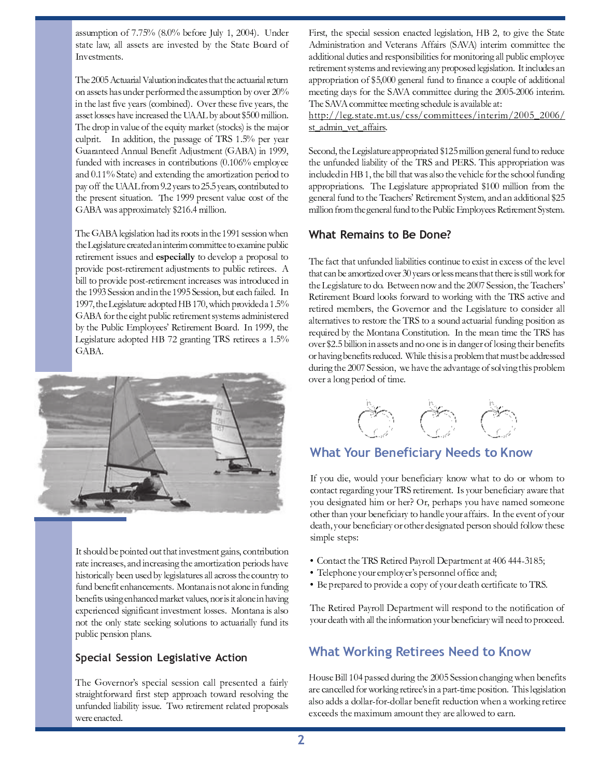assumption of 7.75% (8.0% before July 1, 2004). Under state law, all assets are invested by the State Board of Investments.

The 2005 Actuarial Valuation indicates that the actuarial return on assets has under performed the assumption by over 20% in the last five years (combined). Over these five years, the asset losses have increased the UAAL by about \$500 million. The drop in value of the equity market (stocks) is the major culprit. In addition, the passage of TRS 1.5% per year Guaranteed Annual Benefit Adjustment (GABA) in 1999, funded with increases in contributions (0.106% employee and 0.11% State) and extending the amortization period to pay off the UAAL from 9.2 years to 25.5 years, contributed to the present situation. The 1999 present value cost of the GABA was approximately \$216.4 million.

The GABA legislation had its roots in the 1991 session when the Legislature created an interim committee to examine public retirement issues and especially to develop a proposal to provide post-retirement adjustments to public retirees. A bill to provide post-retirement increases was introduced in the 1993 Session and in the 1995 Session, but each failed. In 1997, the Legislature adopted HB 170, which provided a 1.5% GABA for the eight public retirement systems administered by the Public Employees' Retirement Board. In 1999, the Legislature adopted HB 72 granting TRS retirees a 1.5% GABA.



It should be pointed out that investment gains, contribution rate increases, and increasing the amortization periods have historically been used by legislatures all across the country to fund benefit enhancements. Montana is not alone in funding benefits using enhanced market values, nor is it alone in having experienced significant investment losses. Montana is also not the only state seeking solutions to actuarially fund its public pension plans.

#### Special Session Legislative Action

The Governor's special session call presented a fairly straightforward first step approach toward resolving the unfunded liability issue. Two retirement related proposals were enacted.

First, the special session enacted legislation, HB 2, to give the State Administration and Veterans Affairs (SAVA) interim committee the additional duties and responsibilities for monitoring all public employee retirement systems and reviewing any proposed legislation. It includes an appropriation of \$5,000 general fund to finance a couple of additional meeting days for the SAVA committee during the 2005-2006 interim. The SAVA committee meeting schedule is available at:

http://leg.state.mt.us/css/committees/interim/2005\_2006/ st admin vet affairs.

Second, the Legislature appropriated \$125 million general fund to reduce the unfunded liability of the TRS and PERS. This appropriation was included in HB 1, the bill that was also the vehicle for the school funding appropriations. The Legislature appropriated \$100 million from the general fund to the Teachers' Retirement System, and an additional \$25 million from the general fund to the Public Employees Retirement System.

#### **What Remains to Be Done?**

The fact that unfunded liabilities continue to exist in excess of the level that can be amortized over 30 years or less means that there is still work for the Legislature to do. Between now and the 2007 Session, the Teachers' Retirement Board looks forward to working with the TRS active and retired members, the Governor and the Legislature to consider all alternatives to restore the TRS to a sound actuarial funding position as required by the Montana Constitution. In the mean time the TRS has over \$2.5 billion in assets and no one is in danger of losing their benefits or having benefits reduced. While this is a problem that must be addressed during the 2007 Session, we have the advantage of solving this problem over a long period of time.



#### **What Your Beneficiary Needs to Know**

If you die, would your beneficiary know what to do or whom to contact regarding your TRS retirement. Is your beneficiary aware that you designated him or her? Or, perhaps you have named someone other than your beneficiary to handle your affairs. In the event of your death, your beneficiary or other designated person should follow these simple steps:

- Contact the TRS Retired Payroll Department at 406 444-3185;
- · Telephone your employer's personnel office and;
- · Be prepared to provide a copy of your death certificate to TRS.

The Retired Payroll Department will respond to the notification of your death with all the information your beneficiary will need to proceed.

#### **What Working Retirees Need to Know**

House Bill 104 passed during the 2005 Session changing when benefits are cancelled for working retiree's in a part-time position. This legislation also adds a dollar-for-dollar benefit reduction when a working retiree exceeds the maximum amount they are allowed to earn.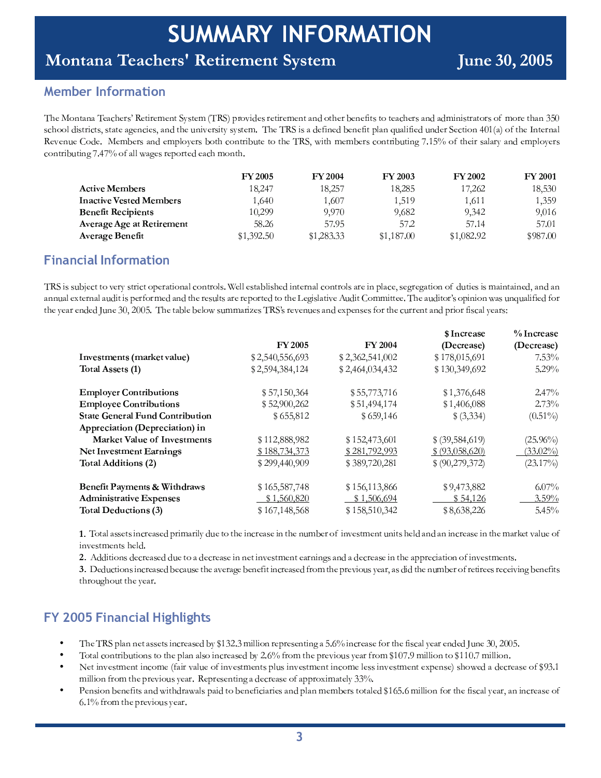# Montana Teachers' Retirement System

 $\blacksquare$  =  $\blacksquare$ 

<sup>R</sup> <sup>=</sup> <sup>E</sup> <sup>A</sup> <sup>S</sup> <sup>F</sup> <sup>A</sup>

#### - -

   ! ! " # ! ! # \$ % & school districts, state agencies, and the university system. The TRS is a defined benefit plan qualified under Section 401(a) of the Internal Revenue Code. Members and employers both contribute to the TRS, with members contributing 7.15% of their salary and employer contributing  $7.47\%$  of all wages reported each month

|                                  | <b>FY 2005</b> | <b>FY 2004</b> | <b>FY 2003</b> | <b>FY 2002</b> | <b>FY 2001</b> |
|----------------------------------|----------------|----------------|----------------|----------------|----------------|
| <b>Active Members</b>            | 18,247         | 18,257         | 18,285         | 17,262         | 18.530         |
| <b>Inactive Vested Members</b>   | 1.640          | 1.607          | 1.519          | 1,611          | 1.359          |
| <b>Benefit Recipients</b>        | 10.299         | 9.970          | 9,682          | 9.342          | 9,016          |
| <b>Average Age at Retirement</b> | 58.26          | 57.95          | 57.2           | 57.14          | 57.01          |
| <b>Average Benefit</b>           | \$1,392.50     | \$1,283.33     | \$1,187.00     | \$1,082.92     | \$987.00       |

#### ^ \_ ` <sup>a</sup> ` <sup>b</sup> \_ <sup>a</sup> <sup>c</sup> <sup>d</sup> ` <sup>e</sup> <sup>f</sup> <sup>g</sup> <sup>h</sup> <sup>a</sup> <sup>i</sup> \_ <sup>f</sup> `

j <sup>k</sup> <sup>l</sup> <sup>m</sup> <sup>n</sup> <sup>n</sup> <sup>o</sup> <sup>p</sup> <sup>q</sup> <sup>r</sup> <sup>s</sup> <sup>t</sup> <sup>t</sup> <sup>u</sup> <sup>v</sup> <sup>r</sup> <sup>w</sup> <sup>x</sup> <sup>n</sup> <sup>t</sup> <sup>w</sup> <sup>m</sup> <sup>s</sup> <sup>t</sup> <sup>u</sup> <sup>y</sup> <sup>r</sup> <sup>w</sup> <sup>z</sup> <sup>t</sup> <sup>m</sup> <sup>u</sup> { <sup>z</sup> <sup>|</sup> <sup>s</sup> <sup>u</sup> { <sup>t</sup> <sup>w</sup> <sup>u</sup> <sup>|</sup> <sup>n</sup> \ } <sup>r</sup> <sup>|</sup> <sup>|</sup> <sup>r</sup> <sup>n</sup> <sup>t</sup> <sup>z</sup> <sup>p</sup> <sup>|</sup> <sup>m</sup> <sup>n</sup> <sup>~</sup> <sup>r</sup> <sup>m</sup> { <sup>t</sup> <sup>r</sup> <sup>w</sup> { <sup>z</sup> <sup>|</sup> <sup>s</sup> <sup>u</sup> { <sup>t</sup> <sup>w</sup> <sup>u</sup> <sup>|</sup> <sup>n</sup> <sup>z</sup> <sup>w</sup> <sup>r</sup> <sup>m</sup> { <sup>y</sup> <sup>|</sup> <sup>z</sup> <sup>s</sup> <sup>r</sup> <sup>I</sup> <sup>n</sup> <sup>r</sup> <sup>w</sup> <sup>r</sup> <sup>z</sup> <sup>t</sup> <sup>m</sup> <sup>u</sup> { <sup>u</sup> <sup>o</sup> <sup>t</sup> <sup>m</sup> <sup>r</sup> <sup>n</sup> <sup>m</sup> <sup>n</sup> <sup>z</sup> <sup>m</sup> { <sup>t</sup> <sup>z</sup> <sup>m</sup> { <sup>r</sup> <sup>I</sup> <sup>z</sup> { <sup>z</sup> { z { { <sup>o</sup> <sup>z</sup> <sup>|</sup> <sup>r</sup> <sup>t</sup> <sup>r</sup> <sup>w</sup> { <sup>z</sup> <sup>|</sup> <sup>z</sup> <sup>o</sup> <sup>m</sup> <sup>t</sup> <sup>m</sup> <sup>n</sup> <sup>y</sup> <sup>r</sup> <sup>w</sup> <sup>u</sup> <sup>w</sup> <sup>r</sup> <sup>z</sup> { <sup>t</sup> <sup>~</sup> <sup>r</sup> <sup>w</sup> <sup>r</sup> <sup>n</sup> <sup>o</sup> <sup>|</sup> <sup>t</sup> <sup>n</sup> <sup>z</sup> <sup>w</sup> <sup>r</sup> <sup>w</sup> <sup>r</sup> <sup>y</sup> <sup>u</sup> <sup>w</sup> <sup>t</sup> <sup>r</sup> <sup>t</sup> <sup>u</sup> <sup>t</sup> <sup>~</sup> <sup>r</sup> <sup>r</sup> <sup>m</sup> <sup>n</sup> <sup>|</sup> <sup>z</sup> <sup>t</sup> <sup>m</sup> <sup>v</sup> <sup>r</sup> <sup>o</sup> <sup>m</sup> <sup>t</sup> <sup>u</sup> <sup>m</sup> <sup>t</sup> <sup>t</sup> <sup>r</sup> <sup>r</sup> \ <sup>j</sup> <sup>~</sup> <sup>r</sup> <sup>z</sup> <sup>o</sup> <sup>m</sup> <sup>t</sup> <sup>u</sup> <sup>w</sup> <sup>n</sup> <sup>u</sup> <sup>y</sup> <sup>m</sup> { <sup>m</sup> <sup>u</sup> { <sup>z</sup> <sup>n</sup> <sup>o</sup> { <sup>o</sup> <sup>z</sup> <sup>|</sup> <sup>m</sup> <sup>m</sup> <sup>r</sup> <sup>u</sup> <sup>w</sup> t <sup>~</sup> <sup>r</sup> <sup>x</sup> <sup>r</sup> <sup>z</sup> <sup>w</sup> <sup>r</sup> { <sup>r</sup> <sup>o</sup> { <sup>r</sup> <sup>O</sup> <sup>P</sup> <sup>I</sup> <sup>J</sup> <sup>P</sup> <sup>P</sup> <sup>M</sup> \ <sup>j</sup> <sup>~</sup> <sup>r</sup> <sup>t</sup> <sup>z</sup> <sup>p</sup> <sup>|</sup> <sup>r</sup> <sup>p</sup> <sup>r</sup> <sup>|</sup> <sup>u</sup> <sup>n</sup> <sup>o</sup> <sup>z</sup> <sup>w</sup> <sup>m</sup> <sup>r</sup> <sup>n</sup> <sup>j</sup> <sup>k</sup> <sup>l</sup> <sup>n</sup> <sup>w</sup> <sup>r</sup> <sup>v</sup> <sup>r</sup> { <sup>o</sup> <sup>r</sup> <sup>n</sup> <sup>z</sup> { <sup>r</sup> <sup>y</sup> <sup>r</sup> { <sup>n</sup> <sup>r</sup> <sup>n</sup> <sup>u</sup> <sup>w</sup> <sup>t</sup> <sup>~</sup> <sup>r</sup> <sup>s</sup> <sup>o</sup> <sup>w</sup> <sup>w</sup> <sup>r</sup> { <sup>t</sup> <sup>z</sup> { <sup>y</sup> <sup>w</sup> <sup>m</sup> <sup>u</sup> <sup>w</sup> <sup>m</sup> <sup>n</sup> <sup>s</sup> <sup>z</sup> <sup>|</sup> <sup>x</sup> <sup>r</sup> <sup>z</sup> <sup>w</sup> <sup>n</sup>

|                                        |                 |                 | \$ Increase       | % Increase  |
|----------------------------------------|-----------------|-----------------|-------------------|-------------|
|                                        | <b>FY 2005</b>  | <b>FY 2004</b>  | (Decrease)        | (Decrease)  |
| Investments (market value)             | \$2,540,556,693 | \$2,362,541,002 | \$178,015,691     | $7.53\%$    |
| Total Assets (1)                       | \$2,594,384,124 | \$2,464,034,432 | \$130,349,692     | $5.29\%$    |
| <b>Employer Contributions</b>          | \$57,150,364    | \$55,773,716    | \$1,376,648       | $2.47\%$    |
| <b>Employee Contributions</b>          | \$52,900,262    | \$51,494,174    | \$1,406,088       | 2.73%       |
| <b>State General Fund Contribution</b> | \$655,812       | \$659,146       | \$ (3,334)        | $(0.51\%)$  |
| Appreciation (Depreciation) in         |                 |                 |                   |             |
| Market Value of Investments            | \$112,888,982   | \$152,473,601   | \$ (39, 584, 619) | $(25.96\%)$ |
| Net Investment Earnings                | \$188,734,373   | \$281,792,993   | \$ (93,058,620)   | $(33.02\%)$ |
| Total Additions (2)                    | \$299,440,909   | \$389,720,281   | \$ (90,279,372)   | $(23.17\%)$ |
| Benefit Payments & Withdraws           | \$165,587,748   | \$156,113,866   | \$9,473,882       | $6.07\%$    |
| <b>Administrative Expenses</b>         | \$1,560,820     | \$1,506,694     | \$54,126          | $3.59\%$    |
| <b>Total Deductions (3)</b>            | \$167,148,568   | \$158,510,342   | \$8,638,226       | 5.45%       |

; ¦ <sup>j</sup> <sup>u</sup> <sup>t</sup> <sup>z</sup> <sup>|</sup> <sup>z</sup> <sup>n</sup> <sup>n</sup> <sup>r</sup> <sup>t</sup> <sup>n</sup> <sup>m</sup> { <sup>s</sup> <sup>w</sup> <sup>r</sup> <sup>z</sup> <sup>n</sup> <sup>r</sup> <sup>y</sup> <sup>w</sup> <sup>m</sup> <sup>z</sup> <sup>w</sup> <sup>m</sup> <sup>|</sup> <sup>x</sup> <sup>o</sup> <sup>r</sup> <sup>t</sup> <sup>u</sup> <sup>t</sup> <sup>~</sup> <sup>r</sup> <sup>m</sup> { <sup>s</sup> <sup>w</sup> <sup>r</sup> <sup>z</sup> <sup>n</sup> <sup>r</sup> <sup>m</sup> { <sup>t</sup> <sup>~</sup> <sup>r</sup> { <sup>o</sup> <sup>p</sup> <sup>r</sup> <sup>w</sup> <sup>u</sup> <sup>m</sup> { <sup>v</sup> <sup>r</sup> <sup>n</sup> <sup>t</sup> <sup>r</sup> { <sup>t</sup> <sup>o</sup> { <sup>m</sup> <sup>t</sup> <sup>n</sup> <sup>~</sup> <sup>r</sup> <sup>|</sup> <sup>z</sup> { <sup>z</sup> { <sup>m</sup> { <sup>s</sup> <sup>w</sup> <sup>r</sup> <sup>z</sup> <sup>n</sup> <sup>r</sup> <sup>m</sup> { <sup>t</sup> <sup>~</sup> <sup>r</sup> <sup>z</sup> <sup>w</sup> § <sup>r</sup> <sup>t</sup> <sup>v</sup> <sup>z</sup> <sup>|</sup> <sup>o</sup> <sup>r</sup> <sup>u</sup> m { <sup>v</sup> <sup>r</sup> <sup>n</sup> <sup>t</sup> <sup>r</sup> { <sup>t</sup> <sup>n</sup> <sup>~</sup> <sup>r</sup> <sup>|</sup> \

 $f \colon \mathcal{C} \to \mathcal{C}$  , we recover the set of the matrix when  $f \colon \mathcal{C} \to \mathcal{C}$  when  $f \colon \mathcal{C} \to \mathcal{C}$  and the matrix when  $f \colon \mathcal{C} \to \mathcal{C}$  and the matrix when the matrix  $f \colon \mathcal{C} \to \mathcal{C}$  and the matrix when the m

: ¦ ¨ r <sup>o</sup> <sup>s</sup> <sup>t</sup> <sup>m</sup> <sup>u</sup> { <sup>n</sup> <sup>m</sup> { <sup>s</sup> <sup>w</sup> <sup>r</sup> <sup>z</sup> <sup>n</sup> <sup>r</sup> <sup>p</sup> <sup>r</sup> <sup>s</sup> <sup>z</sup> <sup>o</sup> <sup>n</sup> <sup>r</sup> <sup>t</sup> <sup>~</sup> <sup>r</sup> <sup>z</sup> <sup>v</sup> <sup>r</sup> <sup>w</sup> <sup>z</sup> <sup>r</sup> <sup>p</sup> <sup>r</sup> { <sup>r</sup> <sup>m</sup> <sup>t</sup> <sup>m</sup> { <sup>s</sup> <sup>w</sup> <sup>r</sup> <sup>z</sup> <sup>n</sup> <sup>r</sup> <sup>w</sup> <sup>u</sup> <sup>t</sup> <sup>~</sup> <sup>r</sup> <sup>y</sup> <sup>w</sup> <sup>r</sup> <sup>v</sup> <sup>m</sup> <sup>u</sup> <sup>o</sup> <sup>n</sup> <sup>x</sup> <sup>r</sup> <sup>z</sup> <sup>w</sup> <sup>I</sup> <sup>z</sup> <sup>n</sup> <sup>m</sup> <sup>t</sup> <sup>~</sup> <sup>r</sup> { <sup>o</sup> <sup>p</sup> <sup>r</sup> <sup>w</sup> <sup>u</sup> <sup>w</sup> <sup>r</sup> <sup>t</sup> <sup>m</sup> <sup>w</sup> <sup>r</sup> <sup>r</sup> <sup>n</sup> <sup>w</sup> <sup>r</sup> <sup>s</sup> <sup>r</sup> <sup>m</sup> <sup>v</sup> <sup>m</sup> { <sup>p</sup> <sup>r</sup> { <sup>r</sup> <sup>m</sup> <sup>t</sup> <sup>n</sup> t <sup>~</sup> <sup>w</sup> <sup>u</sup> <sup>o</sup> <sup>~</sup> <sup>u</sup> <sup>o</sup> <sup>t</sup> <sup>t</sup> <sup>~</sup> <sup>r</sup> <sup>x</sup> <sup>r</sup> <sup>z</sup> <sup>w</sup> \

# ^ © <sup>ª</sup> « « <sup>¬</sup> ^ \_ ` <sup>a</sup> ` <sup>b</sup> \_ <sup>a</sup> <sup>c</sup> \_ ® ¯ <sup>c</sup> \_ ® ¯ <sup>i</sup> °

- ± <sup>²</sup> <sup>³</sup> <sup>±</sup> ´ <sup>µ</sup> ¶ · ¸ <sup>¹</sup> <sup>¹</sup> <sup>³</sup> <sup>º</sup> ¸ » » <sup>³</sup> <sup>º</sup> » <sup>¼</sup> <sup>¹</sup> <sup>½</sup> <sup>¾</sup> <sup>³</sup> ¸ » <sup>³</sup> ¿ <sup>À</sup> <sup>Á</sup> <sup>Â</sup> <sup>Ã</sup> <sup>Ä</sup> <sup>Å</sup> <sup>Æ</sup> <sup>Ä</sup> <sup>Ç</sup> <sup>¼</sup> · · <sup>¼</sup> <sup>È</sup> <sup>¹</sup> <sup>¾</sup> <sup>³</sup> ¶ <sup>¾</sup> <sup>³</sup> » <sup>³</sup> <sup>¹</sup> <sup>º</sup> <sup>¼</sup> <sup>¹</sup> <sup>É</sup> ¸ <sup>Ê</sup> <sup>Æ</sup> <sup>Ë</sup> <sup>Ì</sup> <sup>¼</sup> <sup>¹</sup> <sup>½</sup> <sup>¾</sup> <sup>³</sup> ¸ » <sup>³</sup> <sup>Í</sup> <sup>È</sup> <sup>¾</sup> <sup>º</sup> <sup>²</sup> <sup>³</sup> <sup>Í</sup> <sup>¼</sup> » <sup>½</sup> ¸ · <sup>Á</sup> <sup>³</sup> ¸ <sup>¾</sup> <sup>³</sup> <sup>¹</sup> ¿ <sup>³</sup> ¿ <sup>Î</sup> <sup>Ï</sup> <sup>¹</sup> <sup>³</sup> <sup>Ä</sup> <sup>Ð</sup> <sup>Ñ</sup> <sup>Å</sup> <sup>Ð</sup> <sup>Ð</sup> <sup>Ê</sup> <sup>Æ</sup>
- $\bullet$ ± <sup>È</sup> <sup>º</sup> ¸ · <sup>½</sup> <sup>È</sup> <sup>¹</sup> <sup>º</sup> <sup>¾</sup> <sup>¼</sup> <sup>À</sup> <sup>Ï</sup> <sup>º</sup> <sup>¼</sup> <sup>È</sup> <sup>¹</sup> » <sup>º</sup> <sup>È</sup> <sup>º</sup> <sup>²</sup> <sup>³</sup> ¶ · ¸ <sup>¹</sup> ¸ · » <sup>È</sup> <sup>¼</sup> <sup>¹</sup> <sup>½</sup> <sup>¾</sup> <sup>³</sup> ¸ » <sup>³</sup> ¿ <sup>À</sup> <sup>Á</sup> <sup>Å</sup> <sup>Æ</sup> <sup>Ë</sup> <sup>Ì</sup> <sup>Í</sup> <sup>¾</sup> <sup>È</sup> <sup>Ç</sup> <sup>º</sup> <sup>²</sup> <sup>³</sup> ¶ <sup>¾</sup> <sup>³</sup> <sup>Ò</sup> <sup>¼</sup> <sup>È</sup> <sup>Ï</sup> » <sup>Á</sup> <sup>³</sup> ¸ <sup>¾</sup> <sup>Í</sup> <sup>¾</sup> <sup>È</sup> <sup>Ç</sup> <sup>Â</sup> <sup>Ã</sup> <sup>Ð</sup> <sup>Ó</sup> <sup>Æ</sup> <sup>Ô</sup> <sup>Ç</sup> <sup>¼</sup> · · <sup>¼</sup> <sup>È</sup> <sup>¹</sup> <sup>º</sup> <sup>È</sup> <sup>Â</sup> <sup>Ã</sup> <sup>Ã</sup> <sup>Ð</sup> <sup>Æ</sup> <sup>Ó</sup> <sup>Ç</sup> <sup>¼</sup> · · <sup>¼</sup> <sup>È</sup> <sup>¹</sup> <sup>Æ</sup>
- $\bullet$ Õ ³ <sup>º</sup> <sup>¼</sup> <sup>¹</sup> <sup>Ò</sup> <sup>³</sup> » <sup>º</sup> <sup>Ç</sup> <sup>³</sup> <sup>¹</sup> <sup>º</sup> <sup>¼</sup> <sup>¹</sup> <sup>½</sup> <sup>È</sup> <sup>Ç</sup> <sup>³</sup> <sup>Ö</sup> <sup>Í</sup> ¸ <sup>¼</sup> <sup>¾</sup> <sup>Ò</sup> ¸ · <sup>Ï</sup> <sup>³</sup> <sup>È</sup> <sup>Í</sup> <sup>¼</sup> <sup>¹</sup> <sup>Ò</sup> <sup>³</sup> » <sup>º</sup> <sup>Ç</sup> <sup>³</sup> <sup>¹</sup> <sup>º</sup> » ¶ · <sup>Ï</sup> » <sup>¼</sup> <sup>¹</sup> <sup>Ò</sup> <sup>³</sup> » <sup>º</sup> <sup>Ç</sup> <sup>³</sup> <sup>¹</sup> <sup>º</sup> <sup>¼</sup> <sup>¹</sup> <sup>½</sup> <sup>È</sup> <sup>Ç</sup> <sup>³</sup> · <sup>³</sup> » » <sup>¼</sup> <sup>¹</sup> <sup>Ò</sup> <sup>³</sup> » <sup>º</sup> <sup>Ç</sup> <sup>³</sup> <sup>¹</sup> <sup>º</sup> <sup>³</sup> <sup>×</sup> ¶ <sup>³</sup> <sup>¹</sup> » <sup>³</sup> <sup>Ø</sup> » <sup>²</sup> <sup>È</sup> <sup>Ù</sup> <sup>³</sup> ¿ ¸ ¿ <sup>³</sup> <sup>½</sup> <sup>¾</sup> <sup>³</sup> ¸ » <sup>³</sup> <sup>È</sup> <sup>Í</sup> <sup>Â</sup> <sup>Ô</sup> <sup>Ä</sup> <sup>Æ</sup> <sup>Ã</sup>  $\blacksquare$
- n → a aista i dia aista dia antany dia 2008. Ë <sup>Æ</sup> <sup>Ã</sup> <sup>Ì</sup> <sup>Í</sup> <sup>¾</sup> <sup>È</sup> <sup>Ç</sup> <sup>º</sup> <sup>²</sup> <sup>³</sup> ¶ <sup>¾</sup> <sup>³</sup> <sup>Ò</sup> <sup>¼</sup> <sup>È</sup> <sup>Ï</sup> » <sup>Á</sup> <sup>³</sup> ¸ <sup>¾</sup> <sup>Æ</sup>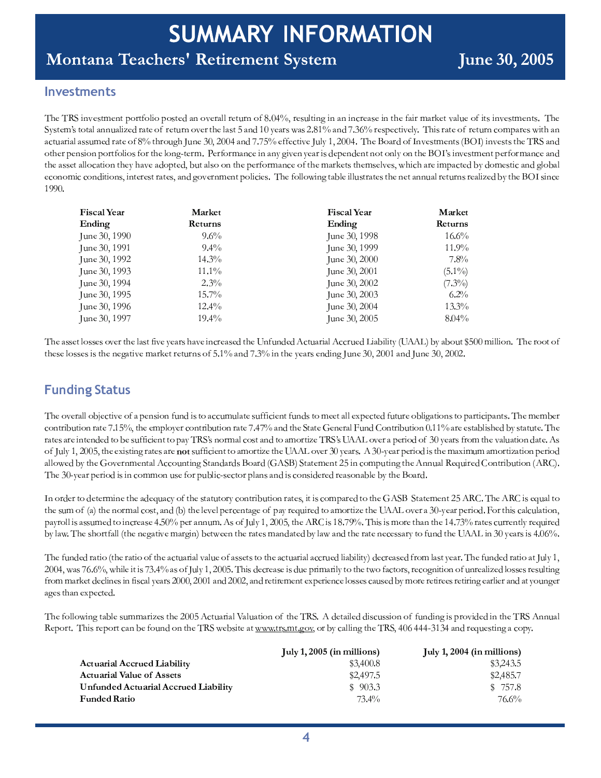# Montana Teachers' Retirement System

#### **Investments**

The TRS investment portfolio posted an overall return of 8.04%, resulting in an increase in the fair market value of its investments. The System's total annualized rate of return over the last 5 and 10 years was 2.81% and 7.36% respectively. This rate of return compares with an actuarial assumed rate of 8% through June 30, 2004 and 7.75% effective July 1, 2004. The Board of Investments (BOI) invests the TRS and other pension portfolios for the long-term. Performance in any given year is dependent not only on the BOI's investment performance and the asset allocation they have adopted, but also on the performance of the markets themselves, which are impacted by domestic and global economic conditions, interest rates, and government policies. The following table illustrates the net annual returns realized by the BOI since 1990.

| <b>Fiscal Year</b><br>Market |          | <b>Fiscal Year</b> | Market    |
|------------------------------|----------|--------------------|-----------|
| Ending                       | Returns  | Ending             | Returns   |
| June 30, 1990                | $9.6\%$  | June 30, 1998      | $16.6\%$  |
| June 30, 1991                | $9.4\%$  | June 30, 1999      | 11.9%     |
| June 30, 1992                | 14.3%    | June 30, 2000      | $7.8\%$   |
| June 30, 1993                | $11.1\%$ | June 30, 2001      | $(5.1\%)$ |
| June 30, 1994                | $2.3\%$  | June 30, 2002      | $(7.3\%)$ |
| June 30, 1995                | $15.7\%$ | June 30, 2003      | $6.2\%$   |
| June 30, 1996                | $12.4\%$ | June 30, 2004      | $13.3\%$  |
| June 30, 1997                | $19.4\%$ | June 30, 2005      | $8.04\%$  |

The asset losses over the last five years have increased the Unfunded Actuarial Accrued Liability (UAAL) by about \$500 million. The root of these losses is the negative market returns of 5.1% and 7.3% in the years ending June 30, 2001 and June 30, 2002.

## **Funding Status**

The overall objective of a pension fund is to accumulate sufficient funds to meet all expected future obligations to participants. The member contribution rate 7.15%, the employer contribution rate 7.47% and the State General Fund Contribution 0.11% are established by statute. The rates are intended to be sufficient to pay TRS's normal cost and to amortize TRS's UAAL over a period of 30 years from the valuation date. As of July 1, 2005, the existing rates are not sufficient to amortize the UAAL over 30 years. A 30-year period is the maximum amortization period allowed by the Governmental Accounting Standards Board (GASB) Statement 25 in computing the Annual Required Contribution (ARC). The 30-year period is in common use for public-sector plans and is considered reasonable by the Board.

In order to determine the adequacy of the statutory contribution rates, it is compared to the GASB Statement 25 ARC. The ARC is equal to the sum of (a) the normal cost, and (b) the level percentage of pay required to amortize the UAAL over a 30-year period. For this calculation, payroll is assumed to increase 4.50% per annum. As of July 1, 2005, the ARC is 18.79%. This is more than the 14.73% rates currently required by law. The shortfall (the negative margin) between the rates mandated by law and the rate necessary to fund the UAAL in 30 years is 4.06%.

The funded ratio (the ratio of the actuarial value of assets to the actuarial accrued liability) decreased from last year. The funded ratio at July 1, 2004, was 76.6%, while it is 73.4% as of July 1, 2005. This decrease is due primarily to the two factors, recognition of unrealized losses resulting from market declines in fiscal years 2000, 2001 and 2002, and retirement experience losses caused by more retirees retiring earlier and at younger ages than expected.

The following table summarizes the 2005 Actuarial Valuation of the TRS. A detailed discussion of funding is provided in the TRS Annual Report. This report can be found on the TRS website at www.trs.mt.gov, or by calling the TRS, 406 444-3134 and requesting a copy.

|                                      | July 1, $2005$ (in millions) | July 1, $2004$ (in millions) |
|--------------------------------------|------------------------------|------------------------------|
| <b>Actuarial Accrued Liability</b>   | \$3,400.8                    | \$3,243.5                    |
| <b>Actuarial Value of Assets</b>     | \$2,497.5                    | \$2,485.7                    |
| Unfunded Actuarial Accrued Liability | \$903.3                      | \$757.8                      |
| <b>Funded Ratio</b>                  | 73.4%                        | 76.6%                        |